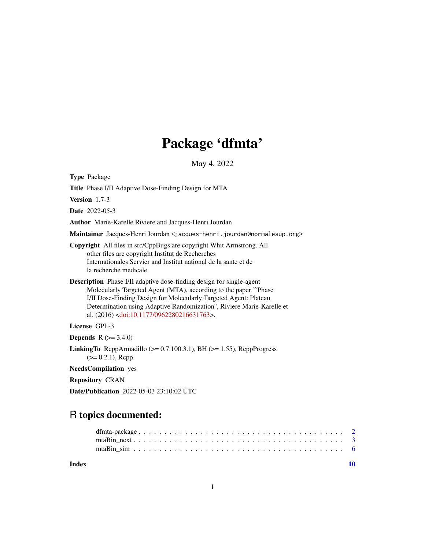# Package 'dfmta'

May 4, 2022

Type Package

Title Phase I/II Adaptive Dose-Finding Design for MTA

Version 1.7-3

Date 2022-05-3

Author Marie-Karelle Riviere and Jacques-Henri Jourdan

Maintainer Jacques-Henri Jourdan <jacques-henri.jourdan@normalesup.org>

Copyright All files in src/CppBugs are copyright Whit Armstrong. All other files are copyright Institut de Recherches Internationales Servier and Institut national de la sante et de la recherche medicale.

Description Phase I/II adaptive dose-finding design for single-agent Molecularly Targeted Agent (MTA), according to the paper ``Phase I/II Dose-Finding Design for Molecularly Targeted Agent: Plateau Determination using Adaptive Randomization'', Riviere Marie-Karelle et al. (2016) [<doi:10.1177/0962280216631763>](https://doi.org/10.1177/0962280216631763).

License GPL-3

**Depends** R  $(>= 3.4.0)$ 

**LinkingTo** RcppArmadillo ( $>= 0.7.100.3.1$ ), BH ( $>= 1.55$ ), RcppProgress  $(>= 0.2.1)$ , Rcpp

NeedsCompilation yes

Repository CRAN

Date/Publication 2022-05-03 23:10:02 UTC

# R topics documented:

 $\blacksquare$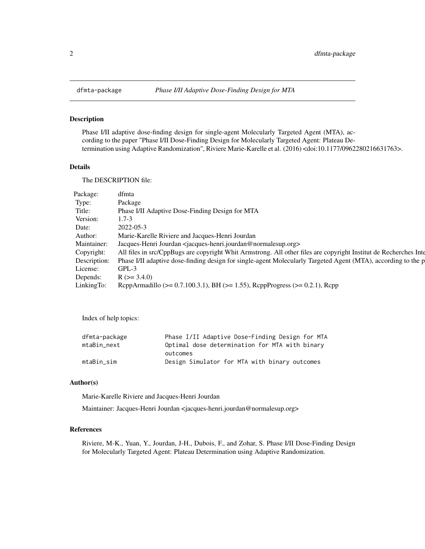<span id="page-1-0"></span>

## Description

Phase I/II adaptive dose-finding design for single-agent Molecularly Targeted Agent (MTA), according to the paper "Phase I/II Dose-Finding Design for Molecularly Targeted Agent: Plateau Determination using Adaptive Randomization", Riviere Marie-Karelle et al. (2016) <doi:10.1177/0962280216631763>.

#### Details

The DESCRIPTION file:

| Package:   | dfmta                                                                                                                      |
|------------|----------------------------------------------------------------------------------------------------------------------------|
| Type:      | Package                                                                                                                    |
| Title:     | Phase I/II Adaptive Dose-Finding Design for MTA                                                                            |
| Version:   | 1.7-3                                                                                                                      |
| Date:      | 2022-05-3                                                                                                                  |
| Author:    | Marie-Karelle Riviere and Jacques-Henri Jourdan                                                                            |
|            | Maintainer: Jacques-Henri Jourdan <jacques-henri.jourdan@normalesup.org></jacques-henri.jourdan@normalesup.org>            |
| Copyright: | All files in src/CppBugs are copyright Whit Armstrong. All other files are copyright Institut de Recherches Inte           |
|            | Description: Phase I/II adaptive dose-finding design for single-agent Molecularly Targeted Agent (MTA), according to the p |
| License:   | $GPL-3$                                                                                                                    |
| Depends:   | $R (= 3.4.0)$                                                                                                              |
| LinkingTo: | ReppArmadillo ( $> = 0.7.100.3.1$ ), BH ( $> = 1.55$ ), ReppProgress ( $> = 0.2.1$ ), Repp                                 |

Index of help topics:

| dfmta-package | Phase I/II Adaptive Dose-Finding Design for MTA |
|---------------|-------------------------------------------------|
| mtaBin next   | Optimal dose determination for MTA with binary  |
|               | outcomes                                        |
| mtaBin sim    | Design Simulator for MTA with binary outcomes   |

### Author(s)

Marie-Karelle Riviere and Jacques-Henri Jourdan

Maintainer: Jacques-Henri Jourdan <jacques-henri.jourdan@normalesup.org>

# References

Riviere, M-K., Yuan, Y., Jourdan, J-H., Dubois, F., and Zohar, S. Phase I/II Dose-Finding Design for Molecularly Targeted Agent: Plateau Determination using Adaptive Randomization.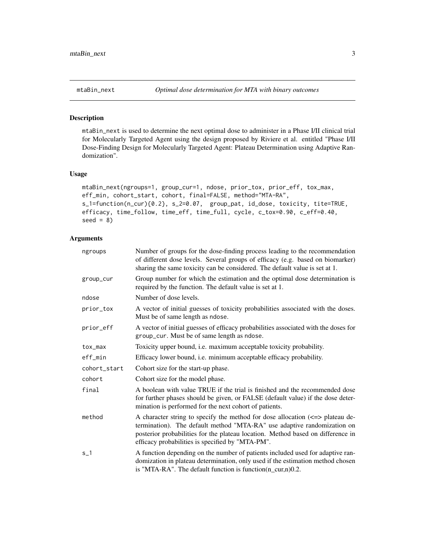# Description

mtaBin\_next is used to determine the next optimal dose to administer in a Phase I/II clinical trial for Molecularly Targeted Agent using the design proposed by Riviere et al. entitled "Phase I/II Dose-Finding Design for Molecularly Targeted Agent: Plateau Determination using Adaptive Randomization".

#### Usage

```
mtaBin_next(ngroups=1, group_cur=1, ndose, prior_tox, prior_eff, tox_max,
eff_min, cohort_start, cohort, final=FALSE, method="MTA-RA",
s_1=function(n_cur){0.2}, s_2=0.07, group_pat, id_dose, toxicity, tite=TRUE,
efficacy, time_follow, time_eff, time_full, cycle, c_tox=0.90, c_eff=0.40,
seed = 8)
```
# Arguments

| ngroups      | Number of groups for the dose-finding process leading to the recommendation<br>of different dose levels. Several groups of efficacy (e.g. based on biomarker)<br>sharing the same toxicity can be considered. The default value is set at 1.                                                        |
|--------------|-----------------------------------------------------------------------------------------------------------------------------------------------------------------------------------------------------------------------------------------------------------------------------------------------------|
| group_cur    | Group number for which the estimation and the optimal dose determination is<br>required by the function. The default value is set at 1.                                                                                                                                                             |
| ndose        | Number of dose levels.                                                                                                                                                                                                                                                                              |
| prior_tox    | A vector of initial guesses of toxicity probabilities associated with the doses.<br>Must be of same length as ndose.                                                                                                                                                                                |
| prior_eff    | A vector of initial guesses of efficacy probabilities associated with the doses for<br>group_cur. Must be of same length as ndose.                                                                                                                                                                  |
| tox_max      | Toxicity upper bound, i.e. maximum acceptable toxicity probability.                                                                                                                                                                                                                                 |
| eff_min      | Efficacy lower bound, i.e. minimum acceptable efficacy probability.                                                                                                                                                                                                                                 |
| cohort_start | Cohort size for the start-up phase.                                                                                                                                                                                                                                                                 |
| cohort       | Cohort size for the model phase.                                                                                                                                                                                                                                                                    |
| final        | A boolean with value TRUE if the trial is finished and the recommended dose<br>for further phases should be given, or FALSE (default value) if the dose deter-<br>mination is performed for the next cohort of patients.                                                                            |
| method       | A character string to specify the method for dose allocation $\ll$ => plateau de-<br>termination). The default method "MTA-RA" use adaptive randomization on<br>posterior probabilities for the plateau location. Method based on difference in<br>efficacy probabilities is specified by "MTA-PM". |
| $s_1$        | A function depending on the number of patients included used for adaptive ran-<br>domization in plateau determination, only used if the estimation method chosen<br>is "MTA-RA". The default function is function $(n\_cur, n)$ 0.2.                                                                |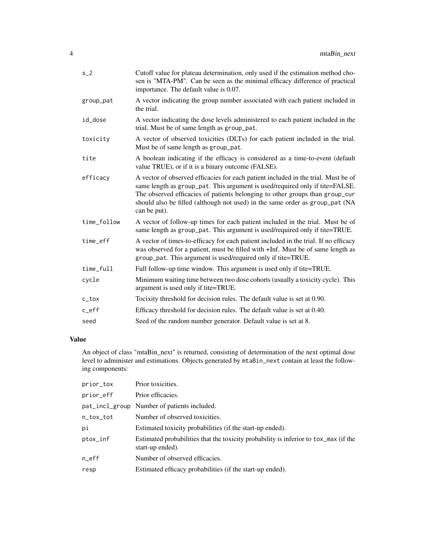| $s_2$       | Cutoff value for plateau determination, only used if the estimation method cho-<br>sen is "MTA-PM". Can be seen as the minimal efficacy difference of practical<br>importance. The default value is 0.07.                                                                                                                                          |
|-------------|----------------------------------------------------------------------------------------------------------------------------------------------------------------------------------------------------------------------------------------------------------------------------------------------------------------------------------------------------|
| group_pat   | A vector indicating the group number associated with each patient included in<br>the trial.                                                                                                                                                                                                                                                        |
| id_dose     | A vector indicating the dose levels administered to each patient included in the<br>trial. Must be of same length as group_pat.                                                                                                                                                                                                                    |
| toxicity    | A vector of observed toxicities (DLTs) for each patient included in the trial.<br>Must be of same length as group_pat.                                                                                                                                                                                                                             |
| tite        | A boolean indicating if the efficacy is considered as a time-to-event (default<br>value TRUE), or if it is a binary outcome (FALSE).                                                                                                                                                                                                               |
| efficacy    | A vector of observed efficacies for each patient included in the trial. Must be of<br>same length as group_pat. This argument is used/required only if tite=FALSE.<br>The observed efficacies of patients belonging to other groups than group_cur<br>should also be filled (although not used) in the same order as group_pat (NA<br>can be put). |
| time_follow | A vector of follow-up times for each patient included in the trial. Must be of<br>same length as group_pat. This argument is used/required only if tite=TRUE.                                                                                                                                                                                      |
| time_eff    | A vector of times-to-efficacy for each patient included in the trial. If no efficacy<br>was observed for a patient, must be filled with +Inf. Must be of same length as<br>group_pat. This argument is used/required only if tite=TRUE.                                                                                                            |
| time_full   | Full follow-up time window. This argument is used only if tite=TRUE.                                                                                                                                                                                                                                                                               |
| cycle       | Minimum waiting time between two dose cohorts (usually a toxicity cycle). This<br>argument is used only if tite=TRUE.                                                                                                                                                                                                                              |
| c_tox       | Tocixity threshold for decision rules. The default value is set at 0.90.                                                                                                                                                                                                                                                                           |
| c_eff       | Efficacy threshold for decision rules. The default value is set at 0.40.                                                                                                                                                                                                                                                                           |
| seed        | Seed of the random number generator. Default value is set at 8.                                                                                                                                                                                                                                                                                    |
|             |                                                                                                                                                                                                                                                                                                                                                    |

# Value

An object of class "mtaBin\_next" is returned, consisting of determination of the next optimal dose level to administer and estimations. Objects generated by mtaBin\_next contain at least the following components:

| prior_tox | Prior toxicities.                                                                                        |
|-----------|----------------------------------------------------------------------------------------------------------|
| prior_eff | Prior efficacies.                                                                                        |
|           | pat_incl_group Number of patients included.                                                              |
| n_tox_tot | Number of observed toxicities.                                                                           |
| рi        | Estimated toxicity probabilities (if the start-up ended).                                                |
| ptox_inf  | Estimated probabilities that the toxicity probability is inferior to tox_max (if the<br>start-up ended). |
| n_eff     | Number of observed efficacies.                                                                           |
| resp      | Estimated efficacy probabilities (if the start-up ended).                                                |
|           |                                                                                                          |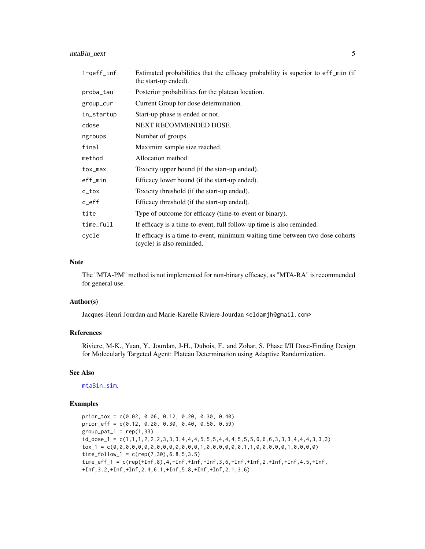<span id="page-4-0"></span>mtaBin\_next 5

| $1$ -qeff_inf | Estimated probabilities that the efficacy probability is superior to eff_min (if<br>the start-up ended).   |
|---------------|------------------------------------------------------------------------------------------------------------|
| proba_tau     | Posterior probabilities for the plateau location.                                                          |
| group_cur     | Current Group for dose determination.                                                                      |
| in_startup    | Start-up phase is ended or not.                                                                            |
| cdose         | NEXT RECOMMENDED DOSE.                                                                                     |
| ngroups       | Number of groups.                                                                                          |
| final         | Maximim sample size reached.                                                                               |
| method        | Allocation method.                                                                                         |
| tox_max       | Toxicity upper bound (if the start-up ended).                                                              |
| eff_min       | Efficacy lower bound (if the start-up ended).                                                              |
| c_tox         | Toxicity threshold (if the start-up ended).                                                                |
| $c$ _eff      | Efficacy threshold (if the start-up ended).                                                                |
| tite          | Type of outcome for efficacy (time-to-event or binary).                                                    |
| time_full     | If efficacy is a time-to-event, full follow-up time is also reminded.                                      |
| cycle         | If efficacy is a time-to-event, minimum waiting time between two dose cohorts<br>(cycle) is also reminded. |

### Note

The "MTA-PM" method is not implemented for non-binary efficacy, as "MTA-RA" is recommended for general use.

#### Author(s)

Jacques-Henri Jourdan and Marie-Karelle Riviere-Jourdan <eldamjh@gmail.com>

#### References

Riviere, M-K., Yuan, Y., Jourdan, J-H., Dubois, F., and Zohar, S. Phase I/II Dose-Finding Design for Molecularly Targeted Agent: Plateau Determination using Adaptive Randomization.

# See Also

[mtaBin\\_sim](#page-5-1).

# Examples

```
prior_tox = c(0.02, 0.06, 0.12, 0.20, 0.30, 0.40)
prior_eff = c(0.12, 0.20, 0.30, 0.40, 0.50, 0.59)
group\_pat_1 = rep(1,33)id\_dose\_1 = c(1,1,1,2,2,2,3,3,3,4,4,4,5,5,5,4,4,4,5,5,5,6,6,6,3,3,3,4,4,4,3,3,3)tox_1 = c(0,0,0,0,0,0,0,0,0,0,0,0,0,0,1,0,0,0,0,0,0,1,1,0,0,0,0,0,1,0,0,0,0)
time_follow<sub>-1</sub> = c(rep(7,30), 6.8, 5, 3.5)
time_eff_1 = c(rep(+Inf,8),4,+Inf,+Inf,+Inf,3,6,+Inf,+Inf,2,+Inf,+Inf,4.5,+Inf,
+Inf,3.2,+Inf,+Inf,2.4,6.1,+Inf,5.8,+Inf,+Inf,2.1,3.6)
```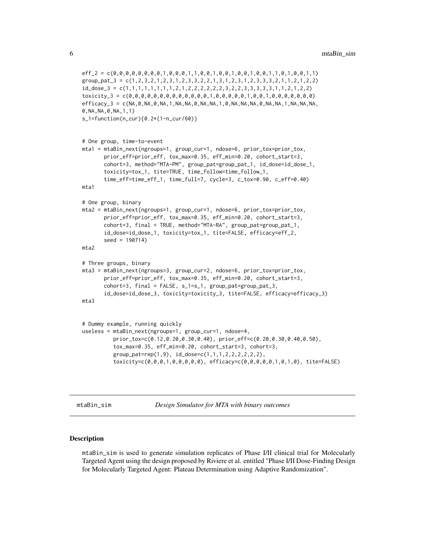```
eff_2 = c(0,0,0,0,0,0,0,0,1,0,0,0,1,1,0,0,1,0,0,1,0,0,1,0,0,1,1,0,0,1,1)group_pat_3 = c(1,2,3,2,1,2,3,1,2,3,3,2,2,1,3,1,2,3,1,2,3,3,3,2,1,1,2,1,2,2)
id_dose_3 = c(1,1,1,1,1,1,1,1,2,1,2,2,2,2,2,2,3,2,2,3,3,3,3,3,1,1,2,1,2,2)
toxicity_3 = c(0,0,0,0,0,0,0,0,0,0,0,0,0,0,1,0,0,0,0,1,0,0,1,0,0,0,0,0,0,0)efficacy_3 = c(NA, 0, NA, 0, NA, 1, NA, NA, 0, NA, NA, 1, 0, NA, NA, NA, 0, NA, NA, 1, NA, NA, NA, NA,0,NA,NA,0,NA,1,1)
s_1=function(n_cur){0.2*(1-n_cur/60)}
# One group, time-to-event
mta1 = mtaBin_next(ngroups=1, group_cur=1, ndose=6, prior_tox=prior_tox,
       prior_eff=prior_eff, tox_max=0.35, eff_min=0.20, cohort_start=3,
       cohort=3, method="MTA-PM", group_pat=group_pat_1, id_dose=id_dose_1,
       toxicity=tox_1, tite=TRUE, time_follow=time_follow_1,
       time_eff=time_eff_1, time_full=7, cycle=3, c_tox=0.90, c_eff=0.40)
mta1
# One group, binary
mta2 = mtaBin_next(ngroups=1, group_cur=1, ndose=6, prior_tox=prior_tox,
       prior_eff=prior_eff, tox_max=0.35, eff_min=0.20, cohort_start=3,
       cohort=3, final = TRUE, method="MTA-RA", group_pat=group_pat_1,
       id_dose=id_dose_1, toxicity=tox_1, tite=FALSE, efficacy=eff_2,
       seed = 190714)
mta2
# Three groups, binary
mta3 = mtaBin_next(ngroups=3, group_cur=2, ndose=6, prior_tox=prior_tox,
       prior_eff=prior_eff, tox_max=0.35, eff_min=0.20, cohort_start=3,
       cohort=3, final = FALSE, s_1=s_1, group_pat=group_pat_3,
       id_dose=id_dose_3, toxicity=toxicity_3, tite=FALSE, efficacy=efficacy_3)
mta3
# Dummy example, running quickly
useless = mtaBin_next(ngroups=1, group_cur=1, ndose=4,
          prior_tox=c(0.12,0.20,0.30,0.40), prior_eff=c(0.20,0.30,0.40,0.50),
          tox_max=0.35, eff_min=0.20, cohort_start=3, cohort=3,
          group_pat=rep(1,9), id_dose=c(1,1,1,2,2,2,2,2,2),
          toxicity=c(0,0,0,1,0,0,0,0,0), efficacy=c(0,0,0,0,0,1,0,1,0), tite=FALSE)
```

```
mtaBin_sim Design Simulator for MTA with binary outcomes
```
#### Description

mtaBin\_sim is used to generate simulation replicates of Phase I/II clinical trial for Molecularly Targeted Agent using the design proposed by Riviere et al. entitled "Phase I/II Dose-Finding Design for Molecularly Targeted Agent: Plateau Determination using Adaptive Randomization".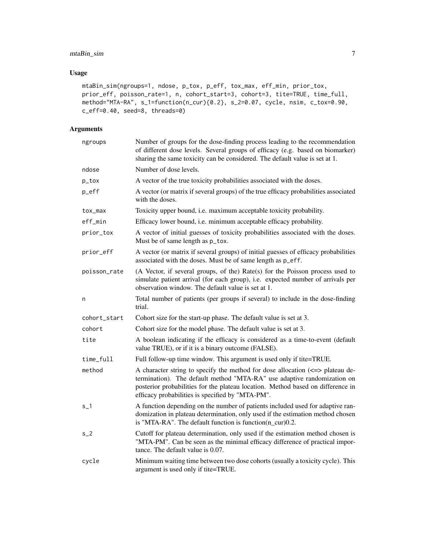# mtaBin\_sim 7

# Usage

```
mtaBin_sim(ngroups=1, ndose, p_tox, p_eff, tox_max, eff_min, prior_tox,
prior_eff, poisson_rate=1, n, cohort_start=3, cohort=3, tite=TRUE, time_full,
method="MTA-RA", s_1=function(n_cur){0.2}, s_2=0.07, cycle, nsim, c_tox=0.90,
c_eff=0.40, seed=8, threads=0)
```
# Arguments

| ngroups      | Number of groups for the dose-finding process leading to the recommendation<br>of different dose levels. Several groups of efficacy (e.g. based on biomarker)<br>sharing the same toxicity can be considered. The default value is set at 1.                                                        |
|--------------|-----------------------------------------------------------------------------------------------------------------------------------------------------------------------------------------------------------------------------------------------------------------------------------------------------|
| ndose        | Number of dose levels.                                                                                                                                                                                                                                                                              |
| $p\_tox$     | A vector of the true toxicity probabilities associated with the doses.                                                                                                                                                                                                                              |
| $p_{eff}$    | A vector (or matrix if several groups) of the true efficacy probabilities associated<br>with the doses.                                                                                                                                                                                             |
| tox_max      | Toxicity upper bound, i.e. maximum acceptable toxicity probability.                                                                                                                                                                                                                                 |
| eff_min      | Efficacy lower bound, i.e. minimum acceptable efficacy probability.                                                                                                                                                                                                                                 |
| prior_tox    | A vector of initial guesses of toxicity probabilities associated with the doses.<br>Must be of same length as p_tox.                                                                                                                                                                                |
| prior_eff    | A vector (or matrix if several groups) of initial guesses of efficacy probabilities<br>associated with the doses. Must be of same length as p_eff.                                                                                                                                                  |
| poisson_rate | (A Vector, if several groups, of the) Rate(s) for the Poisson process used to<br>simulate patient arrival (for each group), i.e. expected number of arrivals per<br>observation window. The default value is set at 1.                                                                              |
| n            | Total number of patients (per groups if several) to include in the dose-finding<br>trial.                                                                                                                                                                                                           |
| cohort_start | Cohort size for the start-up phase. The default value is set at 3.                                                                                                                                                                                                                                  |
| cohort       | Cohort size for the model phase. The default value is set at 3.                                                                                                                                                                                                                                     |
| tite         | A boolean indicating if the efficacy is considered as a time-to-event (default<br>value TRUE), or if it is a binary outcome (FALSE).                                                                                                                                                                |
| time_full    | Full follow-up time window. This argument is used only if tite=TRUE.                                                                                                                                                                                                                                |
| method       | A character string to specify the method for dose allocation $\ll$ => plateau de-<br>termination). The default method "MTA-RA" use adaptive randomization on<br>posterior probabilities for the plateau location. Method based on difference in<br>efficacy probabilities is specified by "MTA-PM". |
| $s_1$        | A function depending on the number of patients included used for adaptive ran-<br>domization in plateau determination, only used if the estimation method chosen<br>is "MTA-RA". The default function is function( $n$ cur) $0.2$ .                                                                 |
| $S_2$        | Cutoff for plateau determination, only used if the estimation method chosen is<br>"MTA-PM". Can be seen as the minimal efficacy difference of practical impor-<br>tance. The default value is 0.07.                                                                                                 |
| cycle        | Minimum waiting time between two dose cohorts (usually a toxicity cycle). This<br>argument is used only if tite=TRUE.                                                                                                                                                                               |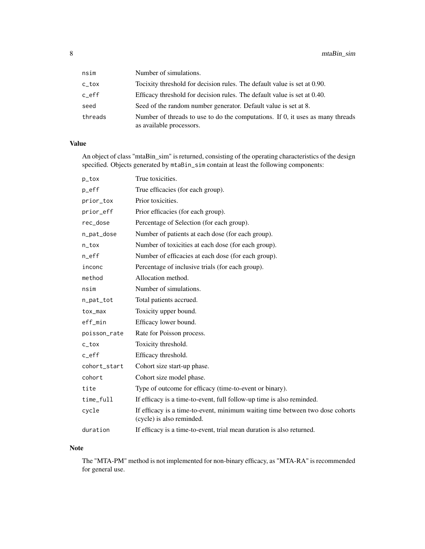| nsim    | Number of simulations.                                                                                     |
|---------|------------------------------------------------------------------------------------------------------------|
| c_tox   | Tocixity threshold for decision rules. The default value is set at 0.90.                                   |
| c_eff   | Efficacy threshold for decision rules. The default value is set at 0.40.                                   |
| seed    | Seed of the random number generator. Default value is set at 8.                                            |
| threads | Number of threads to use to do the computations. If 0, it uses as many threads<br>as available processors. |

# Value

An object of class "mtaBin\_sim" is returned, consisting of the operating characteristics of the design specified. Objects generated by mtaBin\_sim contain at least the following components:

| p_tox                           | True toxicities.                                                                                           |
|---------------------------------|------------------------------------------------------------------------------------------------------------|
| $p_{eff}$                       | True efficacies (for each group).                                                                          |
| prior_tox                       | Prior toxicities.                                                                                          |
| prior_eff                       | Prior efficacies (for each group).                                                                         |
| rec_dose                        | Percentage of Selection (for each group).                                                                  |
| n_pat_dose                      | Number of patients at each dose (for each group).                                                          |
| $n\_tox$                        | Number of toxicities at each dose (for each group).                                                        |
| $n$ <sup><math>e</math>ff</sup> | Number of efficacies at each dose (for each group).                                                        |
| inconc                          | Percentage of inclusive trials (for each group).                                                           |
| method                          | Allocation method.                                                                                         |
| nsim                            | Number of simulations.                                                                                     |
| n_pat_tot                       | Total patients accrued.                                                                                    |
| tox_max                         | Toxicity upper bound.                                                                                      |
| eff_min                         | Efficacy lower bound.                                                                                      |
| poisson_rate                    | Rate for Poisson process.                                                                                  |
| $c_t$                           | Toxicity threshold.                                                                                        |
| $c$ _eff                        | Efficacy threshold.                                                                                        |
| cohort_start                    | Cohort size start-up phase.                                                                                |
| cohort                          | Cohort size model phase.                                                                                   |
| tite                            | Type of outcome for efficacy (time-to-event or binary).                                                    |
| time_full                       | If efficacy is a time-to-event, full follow-up time is also reminded.                                      |
| cycle                           | If efficacy is a time-to-event, minimum waiting time between two dose cohorts<br>(cycle) is also reminded. |
| duration                        | If efficacy is a time-to-event, trial mean duration is also returned.                                      |

# Note

The "MTA-PM" method is not implemented for non-binary efficacy, as "MTA-RA" is recommended for general use.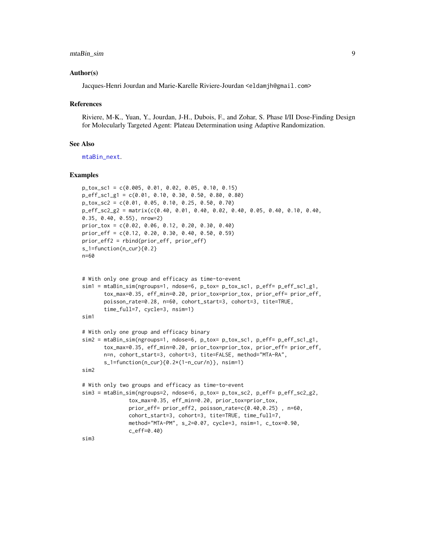### <span id="page-8-0"></span>mtaBin\_sim 9

#### Author(s)

Jacques-Henri Jourdan and Marie-Karelle Riviere-Jourdan <eldamjh@gmail.com>

#### References

Riviere, M-K., Yuan, Y., Jourdan, J-H., Dubois, F., and Zohar, S. Phase I/II Dose-Finding Design for Molecularly Targeted Agent: Plateau Determination using Adaptive Randomization.

#### See Also

[mtaBin\\_next](#page-2-1).

### Examples

```
p_tox_sc1 = c(0.005, 0.01, 0.02, 0.05, 0.10, 0.15)
p_eff_sc1_g1 = c(0.01, 0.10, 0.30, 0.50, 0.80, 0.80)
p_tox_sc2 = c(0.01, 0.05, 0.10, 0.25, 0.50, 0.70)
p_eff_sc2_g2 = matrix(c(0.40, 0.01, 0.40, 0.02, 0.40, 0.05, 0.40, 0.10, 0.40,
0.35, 0.40, 0.55), nrow=2)
prior_tox = c(0.02, 0.06, 0.12, 0.20, 0.30, 0.40)
prior_eff = c(0.12, 0.20, 0.30, 0.40, 0.50, 0.59)
prior_eff2 = rbind(prior_eff, prior_eff)
s_1=function(n_cur){0.2}
n=60
# With only one group and efficacy as time-to-event
sim1 = mtaBin_sim(ngroups=1, ndose=6, p_tox= p_tox_sc1, p_eff= p_eff_sc1_g1,
       tox_max=0.35, eff_min=0.20, prior_tox=prior_tox, prior_eff= prior_eff,
       poisson_rate=0.28, n=60, cohort_start=3, cohort=3, tite=TRUE,
       time_full=7, cycle=3, nsim=1)
sim1
# With only one group and efficacy binary
sim2 = mtaBin_sim(ngroups=1, ndose=6, p_tox= p_tox_sc1, p_eff= p_eff_sc1_g1,
       tox_max=0.35, eff_min=0.20, prior_tox=prior_tox, prior_eff= prior_eff,
       n=n, cohort_start=3, cohort=3, tite=FALSE, method="MTA-RA",
       s_1=function(n_cur){0.2*(1-n_cur/n)}, nsim=1)
sim2
# With only two groups and efficacy as time-to-event
sim3 = mtaBin_sim(ngroups=2, ndose=6, p_tox= p_tox_sc2, p_eff= p_eff_sc2_g2,
               tox_max=0.35, eff_min=0.20, prior_tox=prior_tox,
               prior_eff= prior_eff2, poisson_rate=c(0.40,0.25) , n=60,
               cohort_start=3, cohort=3, tite=TRUE, time_full=7,
               method="MTA-PM", s_2=0.07, cycle=3, nsim=1, c_tox=0.90,
               c_eff=0.40)
```
sim3